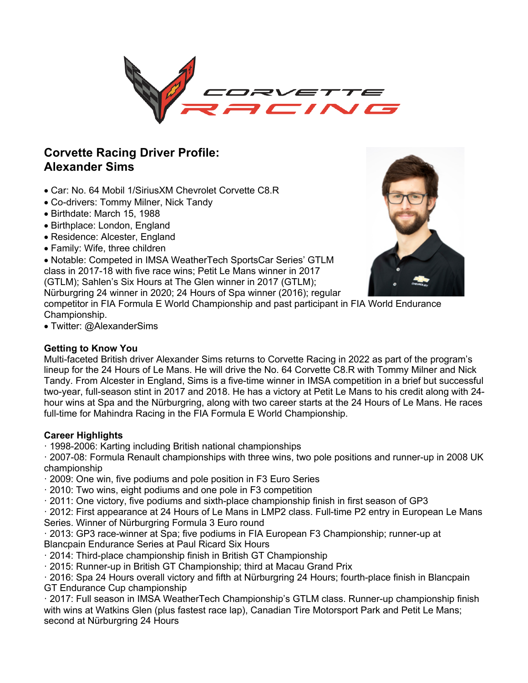

# **Corvette Racing Driver Profile: Alexander Sims**

- Car: No. 64 Mobil 1/SiriusXM Chevrolet Corvette C8.R
- Co-drivers: Tommy Milner, Nick Tandy
- Birthdate: March 15, 1988
- Birthplace: London, England
- Residence: Alcester, England
- Family: Wife, three children

• Notable: Competed in IMSA WeatherTech SportsCar Series' GTLM class in 2017-18 with five race wins; Petit Le Mans winner in 2017 (GTLM); Sahlen's Six Hours at The Glen winner in 2017 (GTLM); Nürburgring 24 winner in 2020; 24 Hours of Spa winner (2016); regular



competitor in FIA Formula E World Championship and past participant in FIA World Endurance Championship.

• Twitter: @AlexanderSims

# **Getting to Know You**

Multi-faceted British driver Alexander Sims returns to Corvette Racing in 2022 as part of the program's lineup for the 24 Hours of Le Mans. He will drive the No. 64 Corvette C8.R with Tommy Milner and Nick Tandy. From Alcester in England, Sims is a five-time winner in IMSA competition in a brief but successful two-year, full-season stint in 2017 and 2018. He has a victory at Petit Le Mans to his credit along with 24 hour wins at Spa and the Nürburgring, along with two career starts at the 24 Hours of Le Mans. He races full-time for Mahindra Racing in the FIA Formula E World Championship.

# **Career Highlights**

· 1998-2006: Karting including British national championships

· 2007-08: Formula Renault championships with three wins, two pole positions and runner-up in 2008 UK championship

- · 2009: One win, five podiums and pole position in F3 Euro Series
- · 2010: Two wins, eight podiums and one pole in F3 competition
- · 2011: One victory, five podiums and sixth-place championship finish in first season of GP3

· 2012: First appearance at 24 Hours of Le Mans in LMP2 class. Full-time P2 entry in European Le Mans Series. Winner of Nürburgring Formula 3 Euro round

· 2013: GP3 race-winner at Spa; five podiums in FIA European F3 Championship; runner-up at Blancpain Endurance Series at Paul Ricard Six Hours

- · 2014: Third-place championship finish in British GT Championship
- · 2015: Runner-up in British GT Championship; third at Macau Grand Prix

· 2016: Spa 24 Hours overall victory and fifth at Nürburgring 24 Hours; fourth-place finish in Blancpain GT Endurance Cup championship

· 2017: Full season in IMSA WeatherTech Championship's GTLM class. Runner-up championship finish with wins at Watkins Glen (plus fastest race lap), Canadian Tire Motorsport Park and Petit Le Mans; second at Nürburgring 24 Hours